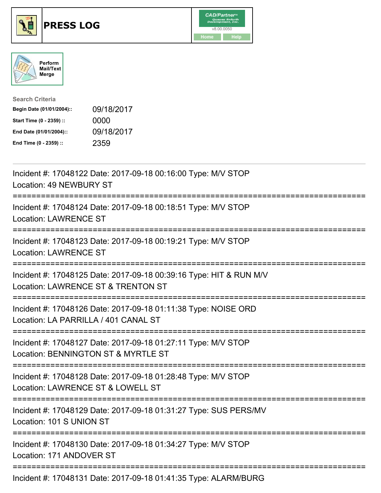





| <b>Search Criteria</b>    |            |
|---------------------------|------------|
| Begin Date (01/01/2004):: | 09/18/2017 |
| Start Time (0 - 2359) ::  | 0000       |
| End Date (01/01/2004)::   | 09/18/2017 |
| End Time (0 - 2359) ::    | 2359       |

| Incident #: 17048122 Date: 2017-09-18 00:16:00 Type: M/V STOP<br>Location: 49 NEWBURY ST                                               |
|----------------------------------------------------------------------------------------------------------------------------------------|
| Incident #: 17048124 Date: 2017-09-18 00:18:51 Type: M/V STOP<br><b>Location: LAWRENCE ST</b><br>==================                    |
| Incident #: 17048123 Date: 2017-09-18 00:19:21 Type: M/V STOP<br><b>Location: LAWRENCE ST</b><br>----------------                      |
| Incident #: 17048125 Date: 2017-09-18 00:39:16 Type: HIT & RUN M/V<br>Location: LAWRENCE ST & TRENTON ST<br>:========================= |
| Incident #: 17048126 Date: 2017-09-18 01:11:38 Type: NOISE ORD<br>Location: LA PARRILLA / 401 CANAL ST                                 |
| Incident #: 17048127 Date: 2017-09-18 01:27:11 Type: M/V STOP<br>Location: BENNINGTON ST & MYRTLE ST                                   |
| Incident #: 17048128 Date: 2017-09-18 01:28:48 Type: M/V STOP<br>Location: LAWRENCE ST & LOWELL ST<br>=====================            |
| Incident #: 17048129 Date: 2017-09-18 01:31:27 Type: SUS PERS/MV<br>Location: 101 S UNION ST                                           |
| Incident #: 17048130 Date: 2017-09-18 01:34:27 Type: M/V STOP<br>Location: 171 ANDOVER ST                                              |
| Incident #: 17048131 Date: 2017-09-18 01:41:35 Type: ALARM/BURG                                                                        |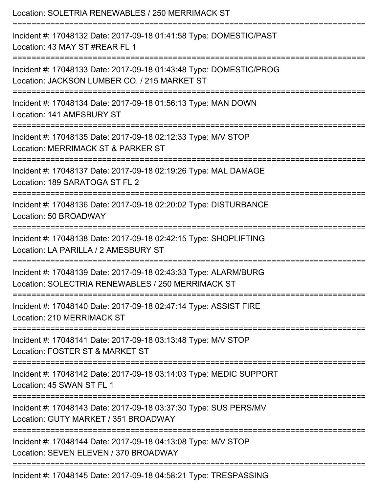| Location: SOLETRIA RENEWABLES / 250 MERRIMACK ST<br>================================                                             |
|----------------------------------------------------------------------------------------------------------------------------------|
| Incident #: 17048132 Date: 2017-09-18 01:41:58 Type: DOMESTIC/PAST<br>Location: 43 MAY ST #REAR FL 1<br>:======================= |
| Incident #: 17048133 Date: 2017-09-18 01:43:48 Type: DOMESTIC/PROG<br>Location: JACKSON LUMBER CO. / 215 MARKET ST               |
| Incident #: 17048134 Date: 2017-09-18 01:56:13 Type: MAN DOWN<br>Location: 141 AMESBURY ST                                       |
| Incident #: 17048135 Date: 2017-09-18 02:12:33 Type: M/V STOP<br>Location: MERRIMACK ST & PARKER ST                              |
| Incident #: 17048137 Date: 2017-09-18 02:19:26 Type: MAL DAMAGE<br>Location: 189 SARATOGA ST FL 2                                |
| Incident #: 17048136 Date: 2017-09-18 02:20:02 Type: DISTURBANCE<br>Location: 50 BROADWAY                                        |
| Incident #: 17048138 Date: 2017-09-18 02:42:15 Type: SHOPLIFTING<br>Location: LA PARILLA / 2 AMESBURY ST                         |
| Incident #: 17048139 Date: 2017-09-18 02:43:33 Type: ALARM/BURG<br>Location: SOLECTRIA RENEWABLES / 250 MERRIMACK ST             |
| Incident #: 17048140 Date: 2017-09-18 02:47:14 Type: ASSIST FIRE<br>Location: 210 MERRIMACK ST                                   |
| Incident #: 17048141 Date: 2017-09-18 03:13:48 Type: M/V STOP<br>Location: FOSTER ST & MARKET ST                                 |
| Incident #: 17048142 Date: 2017-09-18 03:14:03 Type: MEDIC SUPPORT<br>Location: 45 SWAN ST FL 1                                  |
| Incident #: 17048143 Date: 2017-09-18 03:37:30 Type: SUS PERS/MV<br>Location: GUTY MARKET / 351 BROADWAY                         |
| Incident #: 17048144 Date: 2017-09-18 04:13:08 Type: M/V STOP<br>Location: SEVEN ELEVEN / 370 BROADWAY                           |
| Incident #: 17048145 Date: 2017-09-18 04:58:21 Type: TRESPASSING                                                                 |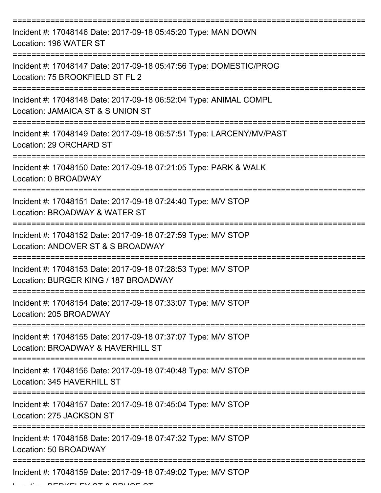| Incident #: 17048146 Date: 2017-09-18 05:45:20 Type: MAN DOWN<br>Location: 196 WATER ST                |
|--------------------------------------------------------------------------------------------------------|
| Incident #: 17048147 Date: 2017-09-18 05:47:56 Type: DOMESTIC/PROG<br>Location: 75 BROOKFIELD ST FL 2  |
| Incident #: 17048148 Date: 2017-09-18 06:52:04 Type: ANIMAL COMPL<br>Location: JAMAICA ST & S UNION ST |
| Incident #: 17048149 Date: 2017-09-18 06:57:51 Type: LARCENY/MV/PAST<br>Location: 29 ORCHARD ST        |
| Incident #: 17048150 Date: 2017-09-18 07:21:05 Type: PARK & WALK<br>Location: 0 BROADWAY               |
| Incident #: 17048151 Date: 2017-09-18 07:24:40 Type: M/V STOP<br>Location: BROADWAY & WATER ST         |
| Incident #: 17048152 Date: 2017-09-18 07:27:59 Type: M/V STOP<br>Location: ANDOVER ST & S BROADWAY     |
| Incident #: 17048153 Date: 2017-09-18 07:28:53 Type: M/V STOP<br>Location: BURGER KING / 187 BROADWAY  |
| Incident #: 17048154 Date: 2017-09-18 07:33:07 Type: M/V STOP<br>Location: 205 BROADWAY                |
| Incident #: 17048155 Date: 2017-09-18 07:37:07 Type: M/V STOP<br>Location: BROADWAY & HAVERHILL ST     |
| Incident #: 17048156 Date: 2017-09-18 07:40:48 Type: M/V STOP<br>Location: 345 HAVERHILL ST            |
| Incident #: 17048157 Date: 2017-09-18 07:45:04 Type: M/V STOP<br>Location: 275 JACKSON ST              |
| Incident #: 17048158 Date: 2017-09-18 07:47:32 Type: M/V STOP<br>Location: 50 BROADWAY                 |
| Incident #: 17048159 Date: 2017-09-18 07:49:02 Type: M/V STOP                                          |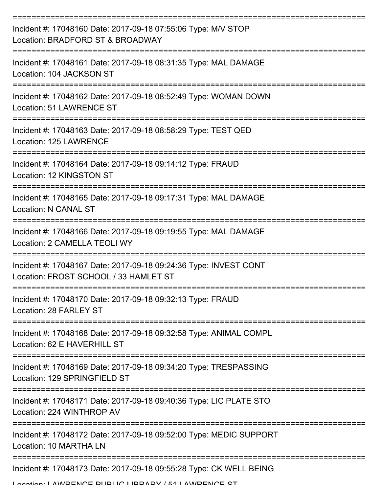| Incident #: 17048160 Date: 2017-09-18 07:55:06 Type: M/V STOP<br>Location: BRADFORD ST & BROADWAY         |
|-----------------------------------------------------------------------------------------------------------|
| Incident #: 17048161 Date: 2017-09-18 08:31:35 Type: MAL DAMAGE<br>Location: 104 JACKSON ST               |
| Incident #: 17048162 Date: 2017-09-18 08:52:49 Type: WOMAN DOWN<br><b>Location: 51 LAWRENCE ST</b>        |
| Incident #: 17048163 Date: 2017-09-18 08:58:29 Type: TEST QED<br>Location: 125 LAWRENCE                   |
| Incident #: 17048164 Date: 2017-09-18 09:14:12 Type: FRAUD<br>Location: 12 KINGSTON ST                    |
| Incident #: 17048165 Date: 2017-09-18 09:17:31 Type: MAL DAMAGE<br>Location: N CANAL ST                   |
| Incident #: 17048166 Date: 2017-09-18 09:19:55 Type: MAL DAMAGE<br>Location: 2 CAMELLA TEOLI WY           |
| Incident #: 17048167 Date: 2017-09-18 09:24:36 Type: INVEST CONT<br>Location: FROST SCHOOL / 33 HAMLET ST |
| Incident #: 17048170 Date: 2017-09-18 09:32:13 Type: FRAUD<br>Location: 28 FARLEY ST                      |
| Incident #: 17048168 Date: 2017-09-18 09:32:58 Type: ANIMAL COMPL<br>Location: 62 E HAVERHILL ST          |
| Incident #: 17048169 Date: 2017-09-18 09:34:20 Type: TRESPASSING<br>Location: 129 SPRINGFIELD ST          |
| Incident #: 17048171 Date: 2017-09-18 09:40:36 Type: LIC PLATE STO<br>Location: 224 WINTHROP AV           |
| Incident #: 17048172 Date: 2017-09-18 09:52:00 Type: MEDIC SUPPORT<br>Location: 10 MARTHA LN              |
| Incident #: 17048173 Date: 2017-09-18 09:55:28 Type: CK WELL BEING                                        |
| I occion: I AM/DENICE DHDLIC HIDDADV / E1 I AM/DENICE CT                                                  |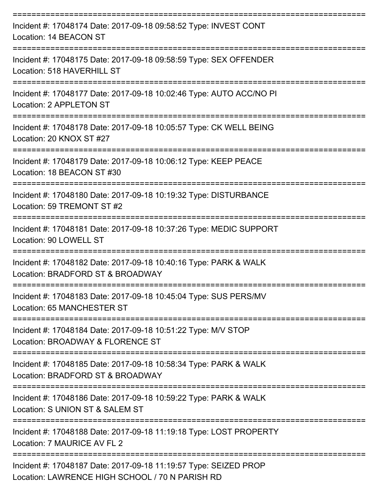| Incident #: 17048174 Date: 2017-09-18 09:58:52 Type: INVEST CONT<br>Location: 14 BEACON ST                          |
|---------------------------------------------------------------------------------------------------------------------|
| Incident #: 17048175 Date: 2017-09-18 09:58:59 Type: SEX OFFENDER<br>Location: 518 HAVERHILL ST<br>;=============== |
| Incident #: 17048177 Date: 2017-09-18 10:02:46 Type: AUTO ACC/NO PI<br>Location: 2 APPLETON ST                      |
| Incident #: 17048178 Date: 2017-09-18 10:05:57 Type: CK WELL BEING<br>Location: 20 KNOX ST #27                      |
| Incident #: 17048179 Date: 2017-09-18 10:06:12 Type: KEEP PEACE<br>Location: 18 BEACON ST #30                       |
| Incident #: 17048180 Date: 2017-09-18 10:19:32 Type: DISTURBANCE<br>Location: 59 TREMONT ST #2                      |
| Incident #: 17048181 Date: 2017-09-18 10:37:26 Type: MEDIC SUPPORT<br>Location: 90 LOWELL ST                        |
| Incident #: 17048182 Date: 2017-09-18 10:40:16 Type: PARK & WALK<br>Location: BRADFORD ST & BROADWAY                |
| Incident #: 17048183 Date: 2017-09-18 10:45:04 Type: SUS PERS/MV<br>Location: 65 MANCHESTER ST                      |
| Incident #: 17048184 Date: 2017-09-18 10:51:22 Type: M/V STOP<br>Location: BROADWAY & FLORENCE ST                   |
| Incident #: 17048185 Date: 2017-09-18 10:58:34 Type: PARK & WALK<br>Location: BRADFORD ST & BROADWAY                |
| Incident #: 17048186 Date: 2017-09-18 10:59:22 Type: PARK & WALK<br>Location: S UNION ST & SALEM ST                 |
| Incident #: 17048188 Date: 2017-09-18 11:19:18 Type: LOST PROPERTY<br>Location: 7 MAURICE AV FL 2                   |
| Incident #: 17048187 Date: 2017-09-18 11:19:57 Type: SEIZED PROP                                                    |

Location: LAWRENCE HIGH SCHOOL / 70 N PARISH RD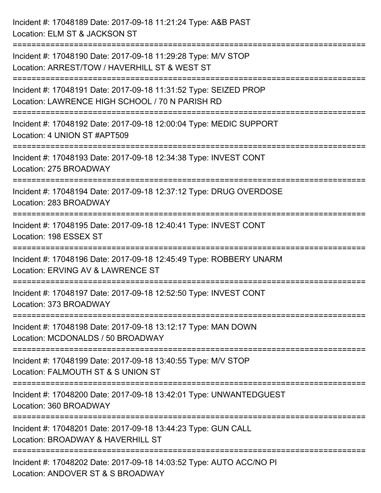Incident #: 17048189 Date: 2017-09-18 11:21:24 Type: A&B PAST Location: ELM ST & JACKSON ST =========================================================================== Incident #: 17048190 Date: 2017-09-18 11:29:28 Type: M/V STOP Location: ARREST/TOW / HAVERHILL ST & WEST ST =========================================================================== Incident #: 17048191 Date: 2017-09-18 11:31:52 Type: SEIZED PROP Location: LAWRENCE HIGH SCHOOL / 70 N PARISH RD =========================================================================== Incident #: 17048192 Date: 2017-09-18 12:00:04 Type: MEDIC SUPPORT Location: 4 UNION ST #APT509 =========================================================================== Incident #: 17048193 Date: 2017-09-18 12:34:38 Type: INVEST CONT Location: 275 BROADWAY =========================================================================== Incident #: 17048194 Date: 2017-09-18 12:37:12 Type: DRUG OVERDOSE Location: 283 BROADWAY =========================================================================== Incident #: 17048195 Date: 2017-09-18 12:40:41 Type: INVEST CONT Location: 198 ESSEX ST =========================================================================== Incident #: 17048196 Date: 2017-09-18 12:45:49 Type: ROBBERY UNARM Location: ERVING AV & LAWRENCE ST =========================================================================== Incident #: 17048197 Date: 2017-09-18 12:52:50 Type: INVEST CONT Location: 373 BROADWAY =========================================================================== Incident #: 17048198 Date: 2017-09-18 13:12:17 Type: MAN DOWN Location: MCDONALDS / 50 BROADWAY =========================================================================== Incident #: 17048199 Date: 2017-09-18 13:40:55 Type: M/V STOP Location: FALMOUTH ST & S UNION ST =========================================================================== Incident #: 17048200 Date: 2017-09-18 13:42:01 Type: UNWANTEDGUEST Location: 360 BROADWAY =========================================================================== Incident #: 17048201 Date: 2017-09-18 13:44:23 Type: GUN CALL Location: BROADWAY & HAVERHILL ST =========================================================================== Incident #: 17048202 Date: 2017-09-18 14:03:52 Type: AUTO ACC/NO PI Location: ANDOVER ST & S BROADWAY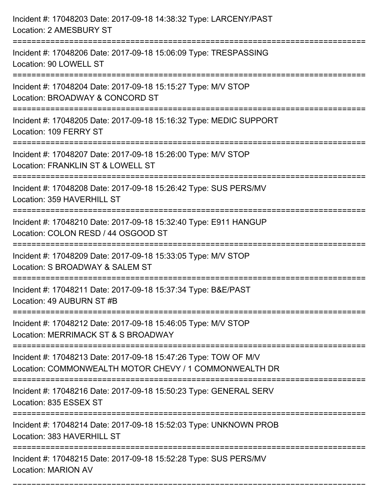| Incident #: 17048203 Date: 2017-09-18 14:38:32 Type: LARCENY/PAST<br>Location: 2 AMESBURY ST                                  |
|-------------------------------------------------------------------------------------------------------------------------------|
| Incident #: 17048206 Date: 2017-09-18 15:06:09 Type: TRESPASSING<br>Location: 90 LOWELL ST                                    |
| Incident #: 17048204 Date: 2017-09-18 15:15:27 Type: M/V STOP<br>Location: BROADWAY & CONCORD ST                              |
| Incident #: 17048205 Date: 2017-09-18 15:16:32 Type: MEDIC SUPPORT<br>Location: 109 FERRY ST                                  |
| Incident #: 17048207 Date: 2017-09-18 15:26:00 Type: M/V STOP<br>Location: FRANKLIN ST & LOWELL ST                            |
| Incident #: 17048208 Date: 2017-09-18 15:26:42 Type: SUS PERS/MV<br>Location: 359 HAVERHILL ST                                |
| Incident #: 17048210 Date: 2017-09-18 15:32:40 Type: E911 HANGUP<br>Location: COLON RESD / 44 OSGOOD ST<br>================== |
| Incident #: 17048209 Date: 2017-09-18 15:33:05 Type: M/V STOP<br>Location: S BROADWAY & SALEM ST                              |
| Incident #: 17048211 Date: 2017-09-18 15:37:34 Type: B&E/PAST<br>Location: 49 AUBURN ST #B                                    |
| Incident #: 17048212 Date: 2017-09-18 15:46:05 Type: M/V STOP<br>Location: MERRIMACK ST & S BROADWAY                          |
| Incident #: 17048213 Date: 2017-09-18 15:47:26 Type: TOW OF M/V<br>Location: COMMONWEALTH MOTOR CHEVY / 1 COMMONWEALTH DR     |
| Incident #: 17048216 Date: 2017-09-18 15:50:23 Type: GENERAL SERV<br>Location: 835 ESSEX ST                                   |
| Incident #: 17048214 Date: 2017-09-18 15:52:03 Type: UNKNOWN PROB<br>Location: 383 HAVERHILL ST                               |
| Incident #: 17048215 Date: 2017-09-18 15:52:28 Type: SUS PERS/MV<br><b>Location: MARION AV</b>                                |

===========================================================================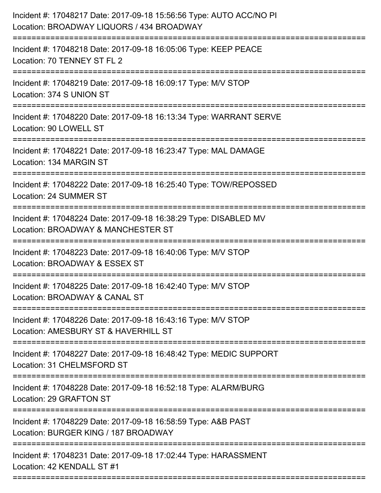| Incident #: 17048218 Date: 2017-09-18 16:05:06 Type: KEEP PEACE<br>Location: 70 TENNEY ST FL 2<br>Incident #: 17048219 Date: 2017-09-18 16:09:17 Type: M/V STOP<br>Location: 374 S UNION ST<br>Incident #: 17048220 Date: 2017-09-18 16:13:34 Type: WARRANT SERVE<br>Location: 90 LOWELL ST<br>Incident #: 17048221 Date: 2017-09-18 16:23:47 Type: MAL DAMAGE<br>Location: 134 MARGIN ST<br>Incident #: 17048222 Date: 2017-09-18 16:25:40 Type: TOW/REPOSSED<br>Location: 24 SUMMER ST<br>Incident #: 17048224 Date: 2017-09-18 16:38:29 Type: DISABLED MV<br>Location: BROADWAY & MANCHESTER ST<br>Incident #: 17048223 Date: 2017-09-18 16:40:06 Type: M/V STOP<br>Location: BROADWAY & ESSEX ST<br>Incident #: 17048225 Date: 2017-09-18 16:42:40 Type: M/V STOP<br>Location: BROADWAY & CANAL ST<br>Incident #: 17048226 Date: 2017-09-18 16:43:16 Type: M/V STOP<br>Location: AMESBURY ST & HAVERHILL ST<br>Incident #: 17048227 Date: 2017-09-18 16:48:42 Type: MEDIC SUPPORT<br>Location: 31 CHELMSFORD ST<br>Incident #: 17048228 Date: 2017-09-18 16:52:18 Type: ALARM/BURG<br>Location: 29 GRAFTON ST<br>--------------------<br>Incident #: 17048229 Date: 2017-09-18 16:58:59 Type: A&B PAST<br>Location: BURGER KING / 187 BROADWAY<br>Incident #: 17048231 Date: 2017-09-18 17:02:44 Type: HARASSMENT<br>Location: 42 KENDALL ST #1 | Incident #: 17048217 Date: 2017-09-18 15:56:56 Type: AUTO ACC/NO PI<br>Location: BROADWAY LIQUORS / 434 BROADWAY |
|-----------------------------------------------------------------------------------------------------------------------------------------------------------------------------------------------------------------------------------------------------------------------------------------------------------------------------------------------------------------------------------------------------------------------------------------------------------------------------------------------------------------------------------------------------------------------------------------------------------------------------------------------------------------------------------------------------------------------------------------------------------------------------------------------------------------------------------------------------------------------------------------------------------------------------------------------------------------------------------------------------------------------------------------------------------------------------------------------------------------------------------------------------------------------------------------------------------------------------------------------------------------------------------------------------------------------------------------------------|------------------------------------------------------------------------------------------------------------------|
|                                                                                                                                                                                                                                                                                                                                                                                                                                                                                                                                                                                                                                                                                                                                                                                                                                                                                                                                                                                                                                                                                                                                                                                                                                                                                                                                                     |                                                                                                                  |
|                                                                                                                                                                                                                                                                                                                                                                                                                                                                                                                                                                                                                                                                                                                                                                                                                                                                                                                                                                                                                                                                                                                                                                                                                                                                                                                                                     |                                                                                                                  |
|                                                                                                                                                                                                                                                                                                                                                                                                                                                                                                                                                                                                                                                                                                                                                                                                                                                                                                                                                                                                                                                                                                                                                                                                                                                                                                                                                     |                                                                                                                  |
|                                                                                                                                                                                                                                                                                                                                                                                                                                                                                                                                                                                                                                                                                                                                                                                                                                                                                                                                                                                                                                                                                                                                                                                                                                                                                                                                                     |                                                                                                                  |
|                                                                                                                                                                                                                                                                                                                                                                                                                                                                                                                                                                                                                                                                                                                                                                                                                                                                                                                                                                                                                                                                                                                                                                                                                                                                                                                                                     |                                                                                                                  |
|                                                                                                                                                                                                                                                                                                                                                                                                                                                                                                                                                                                                                                                                                                                                                                                                                                                                                                                                                                                                                                                                                                                                                                                                                                                                                                                                                     |                                                                                                                  |
|                                                                                                                                                                                                                                                                                                                                                                                                                                                                                                                                                                                                                                                                                                                                                                                                                                                                                                                                                                                                                                                                                                                                                                                                                                                                                                                                                     |                                                                                                                  |
|                                                                                                                                                                                                                                                                                                                                                                                                                                                                                                                                                                                                                                                                                                                                                                                                                                                                                                                                                                                                                                                                                                                                                                                                                                                                                                                                                     |                                                                                                                  |
|                                                                                                                                                                                                                                                                                                                                                                                                                                                                                                                                                                                                                                                                                                                                                                                                                                                                                                                                                                                                                                                                                                                                                                                                                                                                                                                                                     |                                                                                                                  |
|                                                                                                                                                                                                                                                                                                                                                                                                                                                                                                                                                                                                                                                                                                                                                                                                                                                                                                                                                                                                                                                                                                                                                                                                                                                                                                                                                     |                                                                                                                  |
|                                                                                                                                                                                                                                                                                                                                                                                                                                                                                                                                                                                                                                                                                                                                                                                                                                                                                                                                                                                                                                                                                                                                                                                                                                                                                                                                                     |                                                                                                                  |
|                                                                                                                                                                                                                                                                                                                                                                                                                                                                                                                                                                                                                                                                                                                                                                                                                                                                                                                                                                                                                                                                                                                                                                                                                                                                                                                                                     |                                                                                                                  |
|                                                                                                                                                                                                                                                                                                                                                                                                                                                                                                                                                                                                                                                                                                                                                                                                                                                                                                                                                                                                                                                                                                                                                                                                                                                                                                                                                     |                                                                                                                  |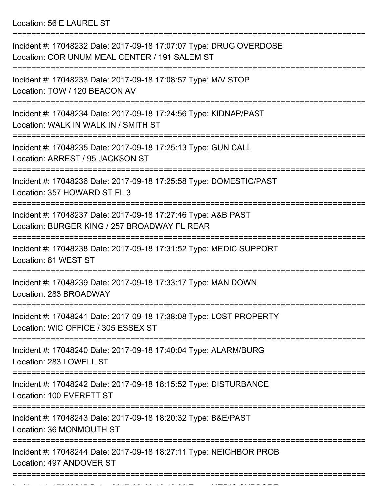Location: 56 E LAUREL ST

| Incident #: 17048232 Date: 2017-09-18 17:07:07 Type: DRUG OVERDOSE<br>Location: COR UNUM MEAL CENTER / 191 SALEM ST |
|---------------------------------------------------------------------------------------------------------------------|
| Incident #: 17048233 Date: 2017-09-18 17:08:57 Type: M/V STOP<br>Location: TOW / 120 BEACON AV                      |
| Incident #: 17048234 Date: 2017-09-18 17:24:56 Type: KIDNAP/PAST<br>Location: WALK IN WALK IN / SMITH ST            |
| Incident #: 17048235 Date: 2017-09-18 17:25:13 Type: GUN CALL<br>Location: ARREST / 95 JACKSON ST                   |
| Incident #: 17048236 Date: 2017-09-18 17:25:58 Type: DOMESTIC/PAST<br>Location: 357 HOWARD ST FL 3                  |
| Incident #: 17048237 Date: 2017-09-18 17:27:46 Type: A&B PAST<br>Location: BURGER KING / 257 BROADWAY FL REAR       |
| Incident #: 17048238 Date: 2017-09-18 17:31:52 Type: MEDIC SUPPORT<br>Location: 81 WEST ST                          |
| Incident #: 17048239 Date: 2017-09-18 17:33:17 Type: MAN DOWN<br>Location: 283 BROADWAY                             |
| Incident #: 17048241 Date: 2017-09-18 17:38:08 Type: LOST PROPERTY<br>Location: WIC OFFICE / 305 ESSEX ST           |
| Incident #: 17048240 Date: 2017-09-18 17:40:04 Type: ALARM/BURG<br>Location: 283 LOWELL ST                          |
| Incident #: 17048242 Date: 2017-09-18 18:15:52 Type: DISTURBANCE<br>Location: 100 EVERETT ST                        |
| Incident #: 17048243 Date: 2017-09-18 18:20:32 Type: B&E/PAST<br>Location: 36 MONMOUTH ST                           |
| Incident #: 17048244 Date: 2017-09-18 18:27:11 Type: NEIGHBOR PROB<br>Location: 497 ANDOVER ST                      |
|                                                                                                                     |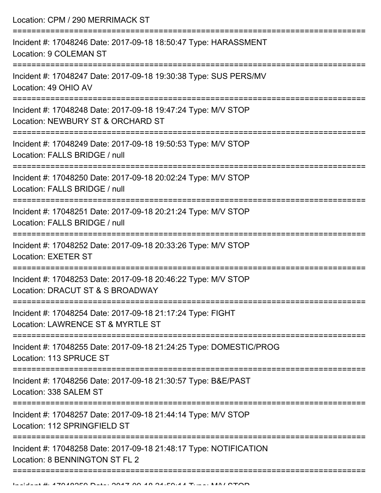Location: CPM / 290 MERRIMACK ST

| Incident #: 17048246 Date: 2017-09-18 18:50:47 Type: HARASSMENT<br>Location: 9 COLEMAN ST           |
|-----------------------------------------------------------------------------------------------------|
| Incident #: 17048247 Date: 2017-09-18 19:30:38 Type: SUS PERS/MV<br>Location: 49 OHIO AV            |
| Incident #: 17048248 Date: 2017-09-18 19:47:24 Type: M/V STOP<br>Location: NEWBURY ST & ORCHARD ST  |
| Incident #: 17048249 Date: 2017-09-18 19:50:53 Type: M/V STOP<br>Location: FALLS BRIDGE / null      |
| Incident #: 17048250 Date: 2017-09-18 20:02:24 Type: M/V STOP<br>Location: FALLS BRIDGE / null      |
| Incident #: 17048251 Date: 2017-09-18 20:21:24 Type: M/V STOP<br>Location: FALLS BRIDGE / null      |
| Incident #: 17048252 Date: 2017-09-18 20:33:26 Type: M/V STOP<br><b>Location: EXETER ST</b>         |
| Incident #: 17048253 Date: 2017-09-18 20:46:22 Type: M/V STOP<br>Location: DRACUT ST & S BROADWAY   |
| Incident #: 17048254 Date: 2017-09-18 21:17:24 Type: FIGHT<br>Location: LAWRENCE ST & MYRTLE ST     |
| Incident #: 17048255 Date: 2017-09-18 21:24:25 Type: DOMESTIC/PROG<br>Location: 113 SPRUCE ST       |
| Incident #: 17048256 Date: 2017-09-18 21:30:57 Type: B&E/PAST<br>Location: 338 SALEM ST             |
| Incident #: 17048257 Date: 2017-09-18 21:44:14 Type: M/V STOP<br>Location: 112 SPRINGFIELD ST       |
| Incident #: 17048258 Date: 2017-09-18 21:48:17 Type: NOTIFICATION<br>Location: 8 BENNINGTON ST FL 2 |
|                                                                                                     |